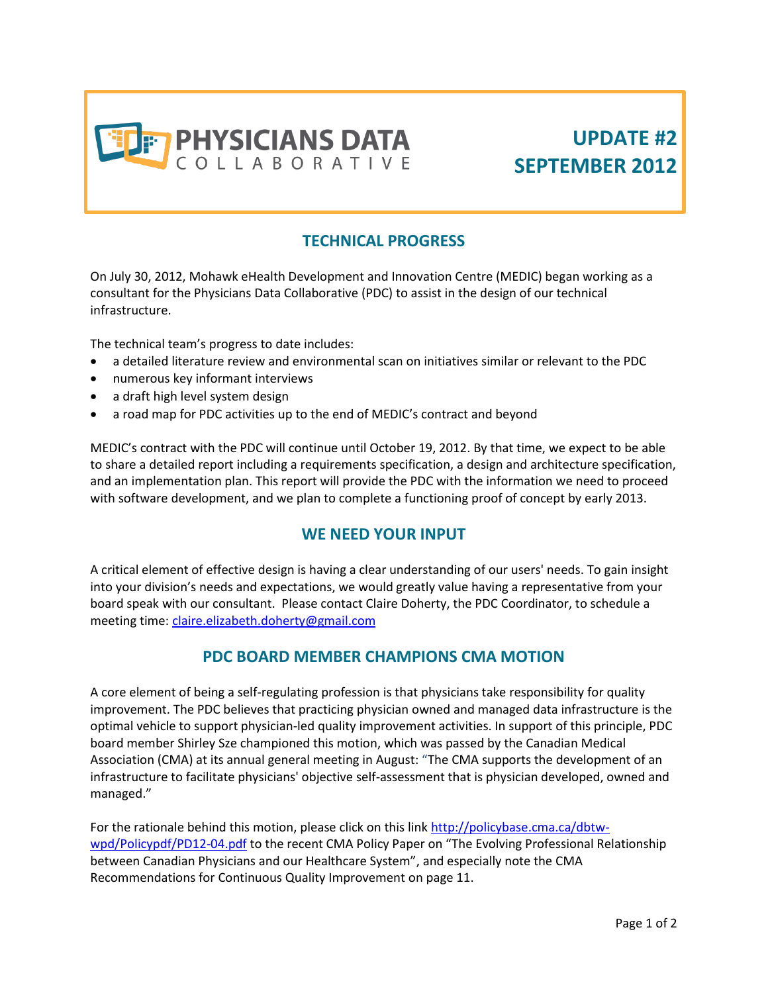

# **UPDATE #2 SEPTEMBER 2012**

## **TECHNICAL PROGRESS**

On July 30, 2012, Mohawk eHealth Development and Innovation Centre (MEDIC) began working as a consultant for the Physicians Data Collaborative (PDC) to assist in the design of our technical infrastructure.

The technical team's progress to date includes:

- a detailed literature review and environmental scan on initiatives similar or relevant to the PDC
- numerous key informant interviews
- a draft high level system design
- a road map for PDC activities up to the end of MEDIC's contract and beyond

MEDIC's contract with the PDC will continue until October 19, 2012. By that time, we expect to be able to share a detailed report including a requirements specification, a design and architecture specification, and an implementation plan. This report will provide the PDC with the information we need to proceed with software development, and we plan to complete a functioning proof of concept by early 2013.

#### **WE NEED YOUR INPUT**

A critical element of effective design is having a clear understanding of our users' needs. To gain insight into your division's needs and expectations, we would greatly value having a representative from your board speak with our consultant. Please contact Claire Doherty, the PDC Coordinator, to schedule a meeting time: [claire.elizabeth.doherty@gmail.com](mailto:claire.elizabeth.doherty@gmail.com)

#### **PDC BOARD MEMBER CHAMPIONS CMA MOTION**

A core element of being a self-regulating profession is that physicians take responsibility for quality improvement. The PDC believes that practicing physician owned and managed data infrastructure is the optimal vehicle to support physician-led quality improvement activities. In support of this principle, PDC board member Shirley Sze championed this motion, which was passed by the Canadian Medical Association (CMA) at its annual general meeting in August: "The CMA supports the development of an infrastructure to facilitate physicians' objective self-assessment that is physician developed, owned and managed."

For the rationale behind this motion, please click on this lin[k http://policybase.cma.ca/dbtw](http://policybase.cma.ca/dbtw-wpd/Policypdf/PD12-04.pdf)[wpd/Policypdf/PD12-04.pdf](http://policybase.cma.ca/dbtw-wpd/Policypdf/PD12-04.pdf) to the recent CMA Policy Paper on "The Evolving Professional Relationship between Canadian Physicians and our Healthcare System", and especially note the CMA Recommendations for Continuous Quality Improvement on page 11.